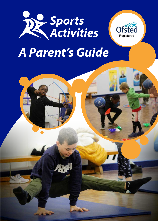



# *A Parent's Guide*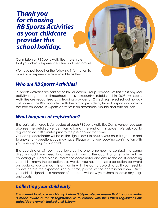## *Thank you for choosing RB Sports Activities as your childcare provider this school holiday.*

Our mission at RB Sports Activities is to ensure that your child's experience is fun and memorable.

We have put together the following information to make your experience as enjoyable as theirs.

#### *Who are RB Sports Activities?*

RB Sports Activities are part of the RB Education Group, providers of first-class physical activity programmes throughout the Blackcountry. Established in 2008, RB Sports Activities are recognised as a leading provider of Ofsted registered school holiday childcare in the Blackcountry. With the aim to provide high-quality sport and activity focused childcare, RB Sports Activities is an affordable, flexible and safe solution.

#### *What happens at registration?*

The registration area is signposted at each RB Sports Activities Camp venue (you can also see the detailed venue information at the end of this guide). We ask you to register at least 10 minutes prior to the pre-booked start time.

Our camp coordinator will be at the sign-in desk to ensure your child is signed in and to answer any questions you may have. Please bring your booking confirmation with you when signing in your child.

The coordinator will point you towards the phone number to contact the camp directly should you need to at any point during the day. If another adult will be collecting your child please inform the coordinator and ensure the adult collecting your child knows the collection password. If you have not set a collection password on booking, you can do this on sign in with the camp co-ordinator. If you need to collect before the expected sign out time, please let the coordinator know. Once your child is signed in, a member of the team will show you where to leave any bags and coats.

#### *Collecting your child early*

*If you need to pick your child up before 3.30pm, please ensure that the coordinator is made aware of this at registration as to comply with the Ofsted regulations our gates/doors remain locked until 3.30pm.*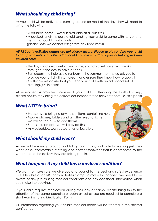#### *What should my child bring?*

As your child will be active and running around for most of the day, they will need to bring the following:

- A refillable bottle water is available at all our sites
- A packed lunch please avoid sending your child to camp with nuts or any items that could contain nuts (please note we cannot refrigerate any food items)

*All RB Sports Activities camps are nut allergy aware. Please avoid sending your child to camp with nuts or any items that could contain nuts. Thank you for helping us keep children safe!*

- Healthy snacks as well as lunchtime, your child will have two breaks throughout the day to have a snack
- Sun cream to help avoid sunburn in the summer months we ask you to provide your child with sun cream and ensure they know how to apply it
- Clothing we advise that you send your child with an additional set of clothing, just in case!

All equipment is provided however if your child is attending the football camp, please ensure they bring the correct equipment for the relevant sport (i.e. shin pads)

#### *What NOT to bring?*

- Please avoid bringing any nuts or items containing nuts
- Mobile phones, tablets and all other electronic items we will be too busy to eed them!
- Sports equipment we will provide this
- Any valuables, such as watches or jewellery

#### *What should my child wear?*



As we will be running around and taking part in physical activity, we suggest they wear loose, comfortable clothing and correct footwear that is appropriate to the weather and the activity they are taking part in.

#### *What happens if my child has a medical condition?*

We want to make sure we give you and your child the best and safest experience possible while at an RB Sports Activities Camp. To make this happen, we need to be aware of any pre-existing medical conditions and any additional information when you make the booking.

If your child requires medication during their day at camp, please bring this to the attention of the camp coordinator upon arrival as you are required to complete a short Administrating Medication Form.

All information regarding your child's medical needs will be treated in the strictest confidence.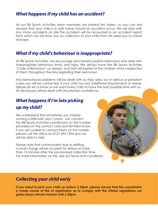#### *What happens if my child has an accident?*

All our RB Sports Activities team members are trained first aiders, so you can rest assured that your child is in safe hands should an accident occur. We will deal with any minor accidents on site.The accident will be recounted in an accident report form which we will show you on collection of your child that will need you to check and sign.

#### *What if my child's behaviour is inappropriate?*

At RB Sports Activities, we encourage and reward positive behaviour and deal with inappropriate behaviour firmly and fairly. We always have the RB Sports Activities 'Code of Behaviour' on display, and staff will explain to the children what is expected of them throughout the day regarding their behaviour.

Any behavioural problems will be dealt with as they arise, but in serious or persistent cases you will be contacted. If your child has any additional requirements or needs, please do let us know as we want every child to have the best possible time with us. All disclosures will be dealt with the strictest confidence.

### *What happens if I'm late picking up my child?*

We understand that sometimes you maybe running a little late, don't panic. Just contact the RB Sports Activities coordinator on the number provided on the contact card and let them know. If you are unable to contact them on the mobile, please call the office on 0121 695 1394 and we will be able to help.

Please note that unfortunately due to staffing, a small charge will be incurred for delays of more than 15 minutes after the pre-booked collection time. For more information on this, see our Terms and Conditions.



#### *Collecting your child early*

*If you need to pick your child up before 3.30pm, please ensure that the coordinator is made aware of this at registration as to comply with the Ofsted regulations our gates/doors remain locked until 3.30pm.*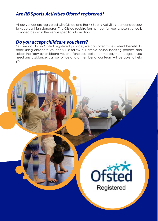#### *Are RB Sports Activities Ofsted registered?*

All our venues are registered with Ofsted and the RB Sports Activities team endeavour to keep our high standards. The Ofsted registration number for your chosen venue is provided below in the venue specific information.

#### *Do you accept childcare vouchers?*

Yes, we do! As an Ofsted registered provider, we can offer this excellent benefit. To book using childcare vouchers just follow our simple online booking process and select the 'pay by childcare voucher/choices' option at the payment page. If you need any assistance, call our office and a member of our team will be able to help you.

**Utste** 

Registered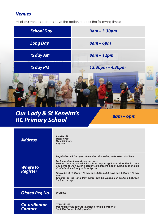#### *Venues*

At all our venues, parents have the option to book the following times:



## *Our Lady & St Kenelm's RC Primary School*

*8am – 6pm*

| <b>Address</b>                        | <b>Bundle Hill</b><br><b>Halesowen</b><br><b>West Midlands</b><br><b>B63 4AR</b>                                                                                                                                                                                                                                                                                                                                                                                                                           |
|---------------------------------------|------------------------------------------------------------------------------------------------------------------------------------------------------------------------------------------------------------------------------------------------------------------------------------------------------------------------------------------------------------------------------------------------------------------------------------------------------------------------------------------------------------|
| Where to<br><b>Register</b>           | Registration will be open 10 minutes prior to the pre-booked start time.<br>For the registration and sign out area:<br>Walk up the car park with the school on your right hand side. The first door<br>you come to will have the 'sign in' sign present. Knock on this door and the<br>Co-Ordinator will let you in to Sign in.<br>Sign out is at 12.00pm (1/2 day am), 3.30pm (full day) and 4.30pm (1/2 day<br>pm)<br>Children on the Long Day camp can be signed out anytime between<br>3.45pm and 6pm. |
| <b>Ofsted Reg No.</b>                 | <b>EY558406</b>                                                                                                                                                                                                                                                                                                                                                                                                                                                                                            |
| <b>Co-ordinator</b><br><b>Contact</b> | 07865292318<br>This number will only be available for the duration of<br>the RBSA Camps holiday period                                                                                                                                                                                                                                                                                                                                                                                                     |